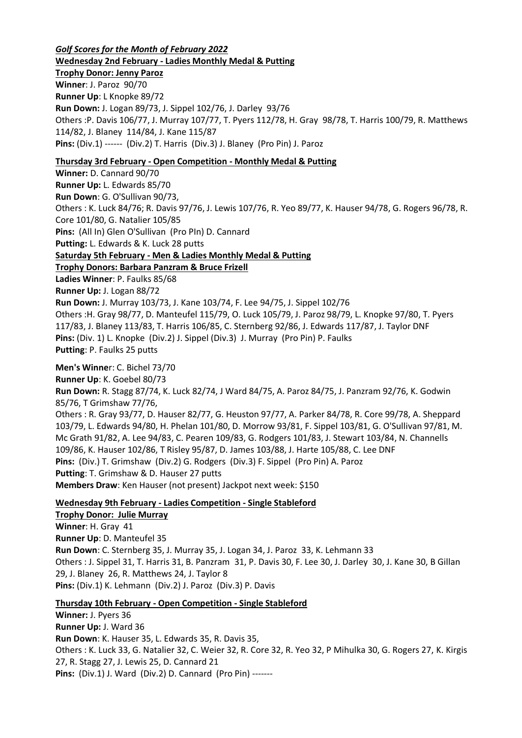*Golf Scores for the Month of February 2022* **Wednesday 2nd February - Ladies Monthly Medal & Putting Trophy Donor: Jenny Paroz Winner**: J. Paroz 90/70 **Runner Up**: L Knopke 89/72 **Run Down:** J. Logan 89/73, J. Sippel 102/76, J. Darley 93/76 Others :P. Davis 106/77, J. Murray 107/77, T. Pyers 112/78, H. Gray 98/78, T. Harris 100/79, R. Matthews 114/82, J. Blaney 114/84, J. Kane 115/87 **Pins:** (Div.1) ------ (Div.2) T. Harris (Div.3) J. Blaney (Pro Pin) J. Paroz **Thursday 3rd February - Open Competition - Monthly Medal & Putting**

**Winner:** D. Cannard 90/70 **Runner Up:** L. Edwards 85/70 **Run Down**: G. O'Sullivan 90/73, Others : K. Luck 84/76; R. Davis 97/76, J. Lewis 107/76, R. Yeo 89/77, K. Hauser 94/78, G. Rogers 96/78, R. Core 101/80, G. Natalier 105/85 **Pins:** (All In) Glen O'Sullivan (Pro PIn) D. Cannard **Putting:** L. Edwards & K. Luck 28 putts **Saturday 5th February - Men & Ladies Monthly Medal & Putting Trophy Donors: Barbara Panzram & Bruce Frizell Ladies Winner**: P. Faulks 85/68 **Runner Up:** J. Logan 88/72 **Run Down:** J. Murray 103/73, J. Kane 103/74, F. Lee 94/75, J. Sippel 102/76 Others :H. Gray 98/77, D. Manteufel 115/79, O. Luck 105/79, J. Paroz 98/79, L. Knopke 97/80, T. Pyers 117/83, J. Blaney 113/83, T. Harris 106/85, C. Sternberg 92/86, J. Edwards 117/87, J. Taylor DNF **Pins:** (Div. 1) L. Knopke (Div.2) J. Sippel (Div.3) J. Murray (Pro Pin) P. Faulks **Putting**: P. Faulks 25 putts **Men's Winne**r: C. Bichel 73/70 **Runner Up**: K. Goebel 80/73 **Run Down:** R. Stagg 87/74, K. Luck 82/74, J Ward 84/75, A. Paroz 84/75, J. Panzram 92/76, K. Godwin 85/76, T Grimshaw 77/76, Others : R. Gray 93/77, D. Hauser 82/77, G. Heuston 97/77, A. Parker 84/78, R. Core 99/78, A. Sheppard 103/79, L. Edwards 94/80, H. Phelan 101/80, D. Morrow 93/81, F. Sippel 103/81, G. O'Sullivan 97/81, M. Mc Grath 91/82, A. Lee 94/83, C. Pearen 109/83, G. Rodgers 101/83, J. Stewart 103/84, N. Channells 109/86, K. Hauser 102/86, T Risley 95/87, D. James 103/88, J. Harte 105/88, C. Lee DNF **Pins:** (Div.) T. Grimshaw (Div.2) G. Rodgers (Div.3) F. Sippel (Pro Pin) A. Paroz

**Putting**: T. Grimshaw & D. Hauser 27 putts

**Members Draw**: Ken Hauser (not present) Jackpot next week: \$150

# **Wednesday 9th February - Ladies Competition - Single Stableford**

**Trophy Donor: Julie Murray Winner**: H. Gray 41 **Runner Up**: D. Manteufel 35 **Run Down**: C. Sternberg 35, J. Murray 35, J. Logan 34, J. Paroz 33, K. Lehmann 33 Others : J. Sippel 31, T. Harris 31, B. Panzram 31, P. Davis 30, F. Lee 30, J. Darley 30, J. Kane 30, B Gillan 29, J. Blaney 26, R. Matthews 24, J. Taylor 8 **Pins:** (Div.1) K. Lehmann (Div.2) J. Paroz (Div.3) P. Davis

# **Thursday 10th February - Open Competition - Single Stableford**

**Winner:** J. Pyers 36 **Runner Up:** J. Ward 36 **Run Down**: K. Hauser 35, L. Edwards 35, R. Davis 35, Others : K. Luck 33, G. Natalier 32, C. Weier 32, R. Core 32, R. Yeo 32, P Mihulka 30, G. Rogers 27, K. Kirgis 27, R. Stagg 27, J. Lewis 25, D. Cannard 21 **Pins:** (Div.1) J. Ward (Div.2) D. Cannard (Pro Pin) -------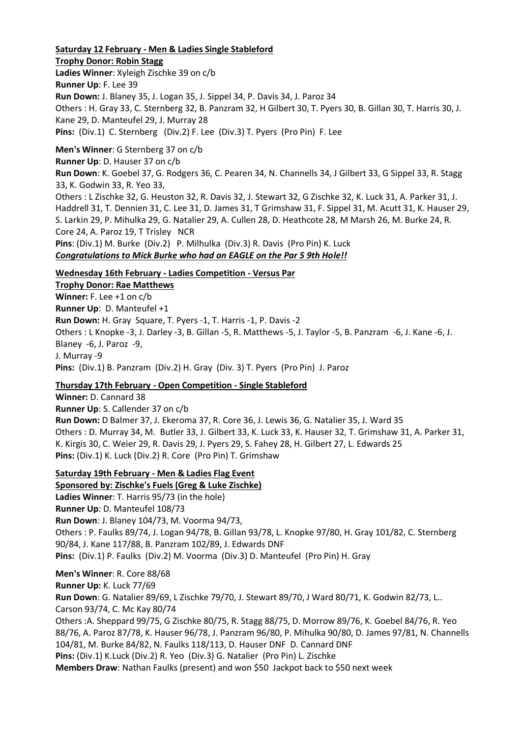# **Saturday 12 February - Men & Ladies Single Stableford**

**Trophy Donor: Robin Stagg**

**Ladies Winner**: Xyleigh Zischke 39 on c/b **Runner Up**: F. Lee 39 **Run Down:** J. Blaney 35, J. Logan 35, J. Sippel 34, P. Davis 34, J. Paroz 34 Others : H. Gray 33, C. Sternberg 32, B. Panzram 32, H Gilbert 30, T. Pyers 30, B. Gillan 30, T. Harris 30, J. Kane 29, D. Manteufel 29, J. Murray 28 **Pins:** (Div.1) C. Sternberg (Div.2) F. Lee (Div.3) T. Pyers (Pro Pin) F. Lee

**Men's Winner**: G Sternberg 37 on c/b **Runner Up**: D. Hauser 37 on c/b **Run Down**: K. Goebel 37, G. Rodgers 36, C. Pearen 34, N. Channells 34, J Gilbert 33, G Sippel 33, R. Stagg 33, K. Godwin 33, R. Yeo 33, Others : L Zischke 32, G. Heuston 32, R. Davis 32, J. Stewart 32, G Zischke 32, K. Luck 31, A. Parker 31, J. Haddrell 31, T. Dennien 31, C. Lee 31, D. James 31, T Grimshaw 31, F. Sippel 31, M. Acutt 31, K. Hauser 29, S. Larkin 29, P. Mihulka 29, G. Natalier 29, A. Cullen 28, D. Heathcote 28, M Marsh 26, M. Burke 24, R. Core 24, A. Paroz 19, T Trisley NCR **Pins**: (Div.1) M. Burke (Div.2) P. Milhulka (Div.3) R. Davis (Pro Pin) K. Luck *Congratulations to Mick Burke who had an EAGLE on the Par 5 9th Hole!!*

### **Wednesday 16th February - Ladies Competition - Versus Par**

**Trophy Donor: Rae Matthews Winner:** F. Lee +1 on c/b **Runner Up**: D. Manteufel +1 **Run Down:** H. Gray Square, T. Pyers -1, T. Harris -1, P. Davis -2 Others : L Knopke -3, J. Darley -3, B. Gillan -5, R. Matthews -5, J. Taylor -5, B. Panzram -6, J. Kane -6, J. Blaney -6, J. Paroz -9, J. Murray -9 **Pins:** (Div.1) B. Panzram (Div.2) H. Gray (Div. 3) T. Pyers (Pro Pin) J. Paroz

# **Thursday 17th February - Open Competition - Single Stableford**

**Winner:** D. Cannard 38 **Runner Up**: S. Callender 37 on c/b **Run Down:** D Balmer 37, J. Ekeroma 37, R. Core 36, J. Lewis 36, G. Natalier 35, J. Ward 35 Others : D. Murray 34, M. Butler 33, J. Gilbert 33, K. Luck 33, K. Hauser 32, T. Grimshaw 31, A. Parker 31, K. Kirgis 30, C. Weier 29, R. Davis 29, J. Pyers 29, S. Fahey 28, H. Gilbert 27, L. Edwards 25 **Pins:** (Div.1) K. Luck (Div.2) R. Core (Pro Pin) T. Grimshaw

#### **Saturday 19th February - Men & Ladies Flag Event**

**Sponsored by: Zischke's Fuels (Greg & Luke Zischke) Ladies Winner**: T. Harris 95/73 (in the hole) **Runner Up**: D. Manteufel 108/73 **Run Down**: J. Blaney 104/73, M. Voorma 94/73, Others : P. Faulks 89/74, J. Logan 94/78, B. Gillan 93/78, L. Knopke 97/80, H. Gray 101/82, C. Sternberg 90/84, J. Kane 117/88, B. Panzram 102/89, J. Edwards DNF **Pins:** (Div.1) P. Faulks (Div.2) M. Voorma (Div.3) D. Manteufel (Pro Pin) H. Gray

**Men's Winner**: R. Core 88/68 **Runner Up:** K. Luck 77/69 **Run Down**: G. Natalier 89/69, L Zischke 79/70, J. Stewart 89/70, J Ward 80/71, K. Godwin 82/73, L.. Carson 93/74, C. Mc Kay 80/74 Others :A. Sheppard 99/75, G Zischke 80/75, R. Stagg 88/75, D. Morrow 89/76, K. Goebel 84/76, R. Yeo 88/76, A. Paroz 87/78, K. Hauser 96/78, J. Panzram 96/80, P. Mihulka 90/80, D. James 97/81, N. Channells 104/81, M. Burke 84/82, N. Faulks 118/113, D. Hauser DNF D. Cannard DNF **Pins:** (Div.1) K.Luck (Div.2) R. Yeo (Div.3) G. Natalier (Pro Pin) L. Zischke **Members Draw**: Nathan Faulks (present) and won \$50 Jackpot back to \$50 next week